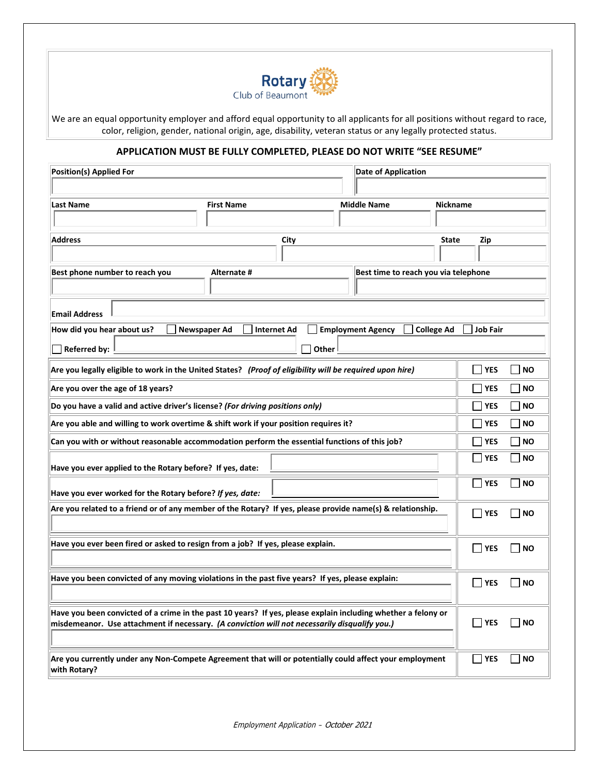

We are an equal opportunity employer and afford equal opportunity to all applicants for all positions without regard to race, color, religion, gender, national origin, age, disability, veteran status or any legally protected status.

# **APPLICATION MUST BE FULLY COMPLETED, PLEASE DO NOT WRITE "SEE RESUME"**

| <b>Position(s) Applied For</b>                                                                                                                                                                                 |                                           |       | <b>Date of Application</b>           |                   |                 |                             |
|----------------------------------------------------------------------------------------------------------------------------------------------------------------------------------------------------------------|-------------------------------------------|-------|--------------------------------------|-------------------|-----------------|-----------------------------|
|                                                                                                                                                                                                                |                                           |       |                                      |                   |                 |                             |
| <b>Last Name</b>                                                                                                                                                                                               | <b>First Name</b>                         |       | <b>Middle Name</b>                   | <b>Nickname</b>   |                 |                             |
|                                                                                                                                                                                                                |                                           |       |                                      |                   |                 |                             |
| <b>Address</b>                                                                                                                                                                                                 |                                           | City  |                                      | <b>State</b>      | Zip             |                             |
|                                                                                                                                                                                                                |                                           |       |                                      |                   |                 |                             |
| Best phone number to reach you                                                                                                                                                                                 | Alternate #                               |       | Best time to reach you via telephone |                   |                 |                             |
|                                                                                                                                                                                                                |                                           |       |                                      |                   |                 |                             |
| <b>Email Address</b>                                                                                                                                                                                           |                                           |       |                                      |                   |                 |                             |
| How did you hear about us?                                                                                                                                                                                     | <b>Newspaper Ad</b><br><b>Internet Ad</b> |       | <b>Employment Agency</b>             | <b>College Ad</b> | <b>Job Fair</b> |                             |
| <b>Referred by:</b>                                                                                                                                                                                            |                                           | Other |                                      |                   |                 |                             |
| Are you legally eligible to work in the United States? (Proof of eligibility will be required upon hire)                                                                                                       |                                           |       |                                      |                   | <b>YES</b>      | <b>NO</b>                   |
| Are you over the age of 18 years?                                                                                                                                                                              |                                           |       |                                      |                   | <b>YES</b>      | <b>NO</b>                   |
| Do you have a valid and active driver's license? (For driving positions only)                                                                                                                                  |                                           |       |                                      | <b>YES</b>        | <b>NO</b>       |                             |
| Are you able and willing to work overtime & shift work if your position requires it?                                                                                                                           |                                           |       |                                      | <b>YES</b>        | <b>NO</b>       |                             |
| Can you with or without reasonable accommodation perform the essential functions of this job?                                                                                                                  |                                           |       |                                      | <b>YES</b>        | <b>NO</b>       |                             |
| Have you ever applied to the Rotary before? If yes, date:                                                                                                                                                      |                                           |       |                                      |                   | <b>YES</b>      | <b>NO</b>                   |
| Have you ever worked for the Rotary before? If yes, date:                                                                                                                                                      |                                           |       |                                      |                   | IIYES           | <b>NO</b><br>$\blacksquare$ |
| Are you related to a friend or of any member of the Rotary? If yes, please provide name(s) & relationship.                                                                                                     |                                           |       |                                      |                   | YES             | NO                          |
|                                                                                                                                                                                                                |                                           |       |                                      |                   |                 |                             |
| Have you ever been fired or asked to resign from a job? If yes, please explain.                                                                                                                                |                                           |       |                                      | YES               | NO              |                             |
| Have you been convicted of any moving violations in the past five years? If yes, please explain:                                                                                                               |                                           |       |                                      | YES               | NO              |                             |
|                                                                                                                                                                                                                |                                           |       |                                      |                   |                 |                             |
| Have you been convicted of a crime in the past 10 years? If yes, please explain including whether a felony or<br>misdemeanor. Use attachment if necessary. (A conviction will not necessarily disqualify you.) |                                           |       |                                      | <b>NES</b>        | <b>NO</b>       |                             |
|                                                                                                                                                                                                                |                                           |       |                                      |                   |                 |                             |
| Are you currently under any Non-Compete Agreement that will or potentially could affect your employment<br>with Rotary?                                                                                        |                                           |       |                                      |                   | <b>YES</b>      | <b>NO</b>                   |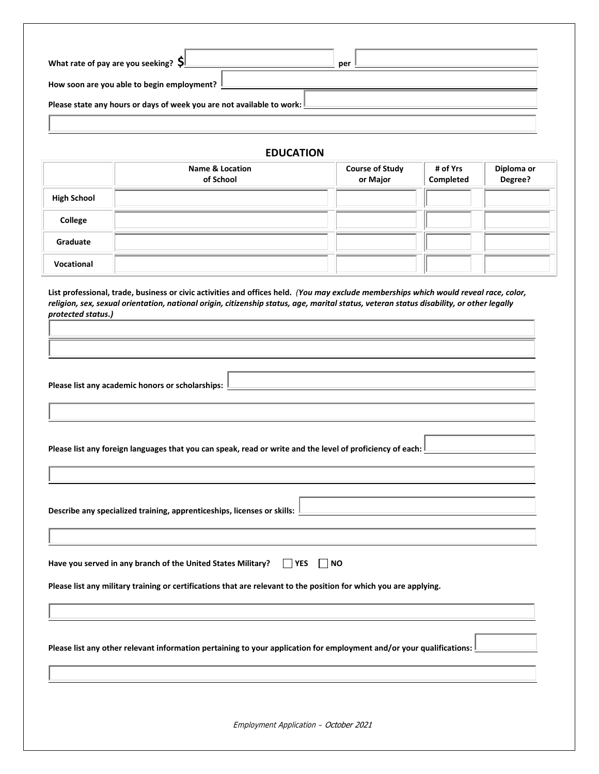| What rate of pay are you seeking? $\mathsf{S}$<br>per                 |  |  |  |  |  |
|-----------------------------------------------------------------------|--|--|--|--|--|
| How soon are you able to begin employment?                            |  |  |  |  |  |
| Please state any hours or days of week you are not available to work: |  |  |  |  |  |
|                                                                       |  |  |  |  |  |

#### **EDUCATION**

|                    | <b>Name &amp; Location</b><br>of School | <b>Course of Study</b><br>or Major | # of Yrs<br>Completed | Diploma or<br>Degree? |
|--------------------|-----------------------------------------|------------------------------------|-----------------------|-----------------------|
| <b>High School</b> |                                         |                                    |                       |                       |
| College            |                                         |                                    |                       |                       |
| Graduate           |                                         |                                    |                       |                       |
| Vocational         |                                         |                                    |                       |                       |

**List professional, trade, business or civic activities and offices held.** *(You may exclude memberships which would reveal race, color, religion, sex, sexual orientation, national origin, citizenship status, age, marital status, veteran status disability, or other legally protected status.)* 

| Please list any academic honors or scholarships: |  |
|--------------------------------------------------|--|
|--------------------------------------------------|--|

**Please list any foreign languages that you can speak, read or write and the level of proficiency of each:** 

**Describe any specialized training, apprenticeships, licenses or skills:** 

Have you served in any branch of the United States Military?  $\Box$  YES  $\Box$  NO

**Please list any military training or certifications that are relevant to the position for which you are applying.**

**Please list any other relevant information pertaining to your application for employment and/or your qualifications:**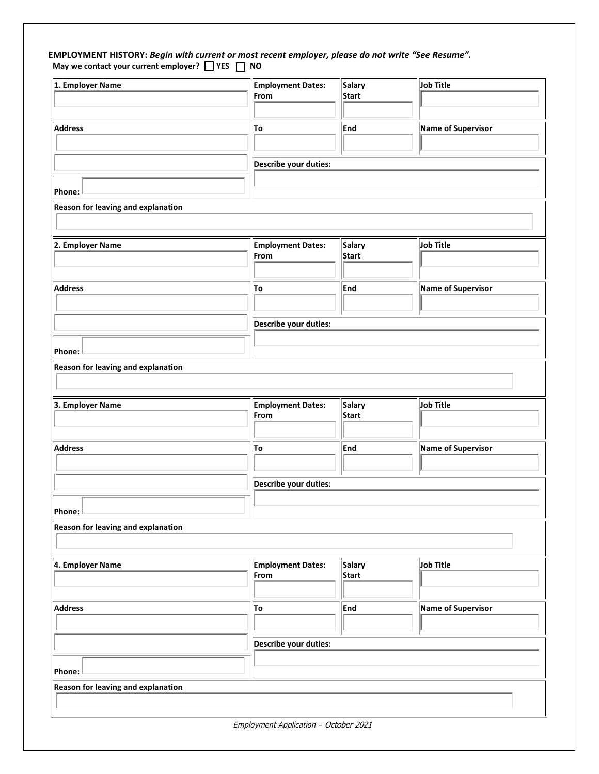#### **EMPLOYMENT HISTORY:** *Begin with current or most recent employer, please do not write "See Resume".* **May we contact your current employer? YES NO**

| 1. Employer Name                                    | <b>Employment Dates:</b><br>From | <b>Salary</b><br><b>Start</b> | Job Title          |  |
|-----------------------------------------------------|----------------------------------|-------------------------------|--------------------|--|
| <b>Address</b>                                      | To                               | End                           | Name of Supervisor |  |
|                                                     | Describe your duties:            |                               |                    |  |
| Phone:                                              |                                  |                               |                    |  |
| Reason for leaving and explanation                  |                                  |                               |                    |  |
| 2. Employer Name                                    | <b>Employment Dates:</b><br>From | <b>Salary</b><br><b>Start</b> | Job Title          |  |
| <b>Address</b>                                      | To                               | <b>End</b>                    | Name of Supervisor |  |
|                                                     | Describe your duties:            |                               |                    |  |
| Phone:                                              |                                  |                               |                    |  |
| Reason for leaving and explanation                  |                                  |                               |                    |  |
| 3. Employer Name                                    | <b>Employment Dates:</b><br>From | <b>Salary</b><br><b>Start</b> | Job Title          |  |
| <b>Address</b>                                      | To                               | <b>End</b>                    | Name of Supervisor |  |
|                                                     | Describe your duties:            |                               |                    |  |
| Phone:<br><b>Reason for leaving and explanation</b> |                                  |                               |                    |  |
|                                                     |                                  |                               |                    |  |
| 4. Employer Name                                    | <b>Employment Dates:</b><br>From | <b>Salary</b><br><b>Start</b> | Job Title          |  |
| <b>Address</b>                                      | To                               | <b>End</b>                    | Name of Supervisor |  |
|                                                     | Describe your duties:            |                               |                    |  |
| Phone:<br>Reason for leaving and explanation        |                                  |                               |                    |  |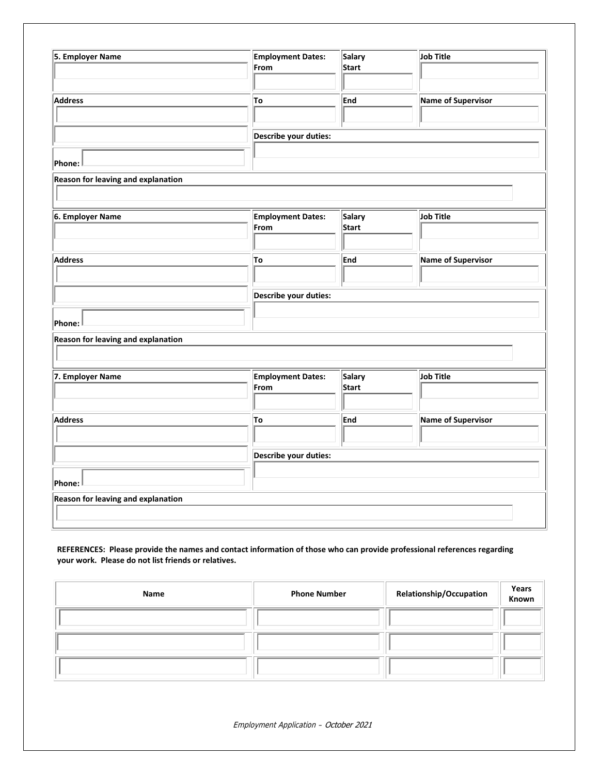| 5. Employer Name                          | <b>Employment Dates:</b><br>From | <b>Salary</b><br><b>Start</b> | Job Title          |  |  |
|-------------------------------------------|----------------------------------|-------------------------------|--------------------|--|--|
|                                           |                                  |                               |                    |  |  |
| <b>Address</b>                            |                                  |                               |                    |  |  |
|                                           | To                               | <b>End</b>                    | Name of Supervisor |  |  |
|                                           |                                  |                               |                    |  |  |
|                                           |                                  | Describe your duties:         |                    |  |  |
|                                           |                                  |                               |                    |  |  |
| Phone:                                    |                                  |                               |                    |  |  |
| Reason for leaving and explanation        |                                  |                               |                    |  |  |
|                                           |                                  |                               |                    |  |  |
| 6. Employer Name                          | <b>Employment Dates:</b>         | <b>Salary</b>                 | Job Title          |  |  |
|                                           | From                             | <b>Start</b>                  |                    |  |  |
|                                           |                                  |                               |                    |  |  |
| <b>Address</b>                            | To                               | <b>End</b>                    | Name of Supervisor |  |  |
|                                           |                                  |                               |                    |  |  |
|                                           | Describe your duties:            |                               |                    |  |  |
|                                           |                                  |                               |                    |  |  |
| Phone:                                    |                                  |                               |                    |  |  |
| Reason for leaving and explanation        |                                  |                               |                    |  |  |
|                                           |                                  |                               |                    |  |  |
| 7. Employer Name                          | <b>Employment Dates:</b>         | <b>Salary</b>                 | Job Title          |  |  |
|                                           | From                             | <b>Start</b>                  |                    |  |  |
|                                           |                                  |                               |                    |  |  |
| <b>Address</b>                            | To                               | End                           | Name of Supervisor |  |  |
|                                           |                                  |                               |                    |  |  |
|                                           | Describe your duties:            |                               |                    |  |  |
|                                           |                                  |                               |                    |  |  |
| Phone:                                    |                                  |                               |                    |  |  |
| <b>Reason for leaving and explanation</b> |                                  |                               |                    |  |  |
|                                           |                                  |                               |                    |  |  |
|                                           |                                  |                               |                    |  |  |

#### **REFERENCES: Please provide the names and contact information of those who can provide professional references regarding your work. Please do not list friends or relatives.**

| Name | <b>Phone Number</b> | Relationship/Occupation | Years<br>Known |
|------|---------------------|-------------------------|----------------|
|      |                     |                         |                |
|      |                     |                         |                |
|      |                     |                         |                |